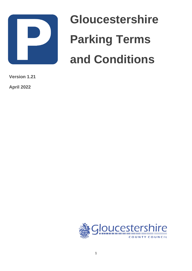

# **Gloucestershire Parking Terms and Conditions**

**Version 1.21**

**April 2022**

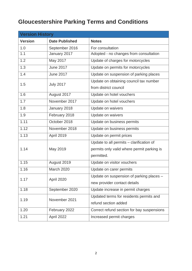# **Gloucestershire Parking Terms and Conditions**

| <b>Version History</b> |                       |                                            |  |  |
|------------------------|-----------------------|--------------------------------------------|--|--|
| <b>Version</b>         | <b>Date Published</b> | <b>Notes</b>                               |  |  |
| 1.0                    | September 2016        | For consultation                           |  |  |
| 1.1                    | January 2017          | Adopted - no changes from consultation     |  |  |
| 1.2                    | May 2017              | Update of charges for motorcycles          |  |  |
| 1.3                    | <b>June 2017</b>      | Update on permits for motorcycles          |  |  |
| 1.4                    | <b>June 2017</b>      | Update on suspension of parking places     |  |  |
| 1.5                    | <b>July 2017</b>      | Update on obtaining council tax number     |  |  |
|                        |                       | from district council                      |  |  |
| 1.6                    | August 2017           | Update on hotel vouchers                   |  |  |
| 1.7                    | November 2017         | Update on hotel vouchers                   |  |  |
| 1.8                    | January 2018          | Update on waivers                          |  |  |
| 1.9                    | February 2018         | Update on waivers                          |  |  |
| 1.11                   | October 2018          | Update on business permits                 |  |  |
| 1.12                   | November 2018         | Update on business permits                 |  |  |
| 1.13                   | April 2019            | Update on permit prices                    |  |  |
|                        | May 2019              | Update to all permits - clarification of   |  |  |
| 1.14                   |                       | permits only valid where permit parking is |  |  |
|                        |                       | permitted.                                 |  |  |
| 1.15                   | August 2019           | Update on visitor vouchers                 |  |  |
| 1.16                   | March 2020            | Update on carer permits                    |  |  |
| 1.17                   | April 2020            | Update on suspension of parking places -   |  |  |
|                        |                       | new provider contact details               |  |  |
| 1.18                   | September 2020        | Update increase in permit charges          |  |  |
| 1.19                   | November 2021         | Updated terms for residents permits and    |  |  |
|                        |                       | refund section added                       |  |  |
| 1.20                   | February 2022         | Correct refund section for bay suspensions |  |  |
| 1.21                   | April 2022            | Increased permit charges                   |  |  |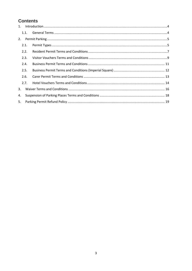#### **Contents**

|    | 1.1. |  |  |  |  |
|----|------|--|--|--|--|
| 2. |      |  |  |  |  |
|    | 2.1. |  |  |  |  |
|    | 2.2. |  |  |  |  |
|    | 2.3. |  |  |  |  |
|    | 2.4. |  |  |  |  |
|    | 2.5. |  |  |  |  |
|    | 2.6. |  |  |  |  |
|    | 2.7. |  |  |  |  |
| 3. |      |  |  |  |  |
| 4. |      |  |  |  |  |
| 5. |      |  |  |  |  |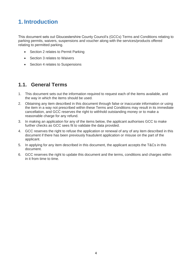# <span id="page-3-0"></span>**1. Introduction**

This document sets out Gloucestershire County Council's (GCCs) Terms and Conditions relating to parking permits, waivers, suspensions and voucher along with the services/products offered relating to permitted parking.

- Section 2 relates to Permit Parking
- Section 3 relates to Waivers
- Section 4 relates to Suspensions

#### <span id="page-3-1"></span>**1.1. General Terms**

- 1. This document sets out the information required to request each of the items available, and the way in which the items should be used.
- 2. Obtaining any item described in this document through false or inaccurate information or using the item in a way not prescribed within these Terms and Conditions may result in its immediate cancellation, and GCC reserves the right to withhold outstanding money or to make a reasonable charge for any refund.
- 3. In making an application for any of the items below, the applicant authorises GCC to make further checks as GCC sees fit to validate the data provided.
- 4. GCC reserves the right to refuse the application or renewal of any of any item described in this document if there has been previously fraudulent application or misuse on the part of the applicant.
- 5. In applying for any item described in this document, the applicant accepts the T&Cs in this document.
- 6. GCC reserves the right to update this document and the terms, conditions and charges within in it from time to time.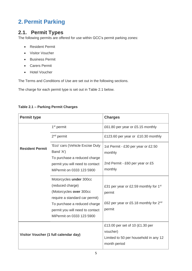# <span id="page-4-0"></span>**2. Permit Parking**

#### <span id="page-4-1"></span>**2.1. Permit Types**

The following permits are offered for use within GCC's permit parking zones:

- Resident Permit
- Visitor Voucher
- Business Permit
- Carers Permit
- Hotel Voucher

r.

The Terms and Conditions of Use are set out in the following sections.

The charge for each permit type is set out in Table 2.1 below.

#### **Table 2.1 – Parking Permit Charges**

| <b>Permit type</b>     |                                                                                                                                                                                                          | <b>Charges</b>                                                                                                      |
|------------------------|----------------------------------------------------------------------------------------------------------------------------------------------------------------------------------------------------------|---------------------------------------------------------------------------------------------------------------------|
|                        | 1 <sup>st</sup> permit                                                                                                                                                                                   | £61.80 per year or £5.15 monthly                                                                                    |
|                        | $2nd$ permit                                                                                                                                                                                             | £123.60 per year or £10.30 monthly                                                                                  |
| <b>Resident Permit</b> | 'Eco' cars (Vehicle Excise Duty<br>Band 'A')<br>To purchase a reduced charge<br>permit you will need to contact<br>MiPermit on 0333 123 5900                                                             | 1st Permit - £30 per year or £2.50<br>monthly<br>2nd Permit - £60 per year or £5<br>monthly                         |
|                        | Motorcycles under 300cc<br>(reduced charge)<br>(Motorcycles over 300cc<br>require a standard car permit)<br>To purchase a reduced charge<br>permit you will need to contact<br>MiPermit on 0333 123 5900 | £31 per year or £2.59 monthly for 1 <sup>st</sup><br>permit<br>£62 per year or £5.18 monthly for $2^{nd}$<br>permit |
|                        | Visitor Voucher (1 full calendar day)                                                                                                                                                                    | £13.00 per set of 10 (£1.30 per<br>voucher)<br>Limited to 50 per household in any 12<br>month period                |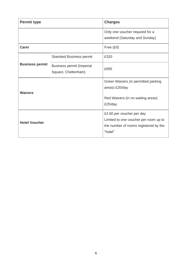| <b>Permit type</b>     |                                                  | <b>Charges</b>                                                                                                         |
|------------------------|--------------------------------------------------|------------------------------------------------------------------------------------------------------------------------|
|                        |                                                  | Only one voucher required for a<br>weekend (Saturday and Sunday)                                                       |
| <b>Carer</b>           |                                                  | Free $(£0)$                                                                                                            |
|                        | <b>Standard Business permit</b>                  | £320                                                                                                                   |
| <b>Business permit</b> | Business permit (Imperial<br>Square, Cheltenham) | £955                                                                                                                   |
| <b>Waivers</b>         |                                                  | Green Waivers (in permitted parking<br>areas) £20/day                                                                  |
|                        |                                                  | Red Waivers (in no waiting areas)<br>£25/day                                                                           |
| <b>Hotel Voucher</b>   |                                                  | £2.60 per voucher per day<br>Limited to one voucher per room up to<br>the number of rooms registered by the<br>"hotel" |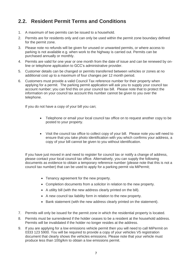## <span id="page-6-0"></span>**2.2. Resident Permit Terms and Conditions**

- 1. A maximum of two permits can be issued to a household.
- 2. Permits are for residents only and can only be used within the permit zone boundary defined for the permit zone.
- 3. Please note no refunds will be given for unused or unwanted permits, or where access to parking is not available e.g. when work to the highway is carried out. Permits can be purchased annually or monthly.
- 4. Permits are valid for one year or one month from the date of issue and can be renewed by online or telephone application to GCC's administrative provider.
- 5. Customer details can be changed or permits transferred between vehicles or zones at no additional cost up to a maximum of four changes per 12 month period.
- 6. Customers must provide a valid Council Tax reference number for their property when applying for a permit. The parking permit application will ask you to supply your council tax account number; you can find this on your council tax bill. Please note that to protect the information on your council tax account this number cannot be given to you over the telephone.

If you do not have a copy of your bill you can;

- Telephone or email your local council tax office on to request another copy to be posted to your property.
- Visit the council tax office to collect copy of your bill. Please note you will need to ensure that you take photo identification with you which confirms your address, a copy of your bill cannot be given to you without identification.

If you have just moved in and need to register for council tax or notify a change of address, please contact your local council tax office. Alternatively, you can supply the following documents as evidence to obtain a temporary reference number (please note that this is not a council tax number) that can be used to apply for a parking permit via MiPermit;

- Tenancy agreement for the new property.
- Completion documents from a solicitor in relation to the new property.
- A utility bill (with the new address clearly printed on the bill).
- A new council tax liability form in relation to the new property.
- Bank statement (with the new address clearly printed on the statement).
- 7. Permits will only be issued for the permit zone in which the residential property is located.
- 8. Permits must be surrendered if the holder ceases to be a resident at the household address. Permits will be invalidated if the holder no longer resides at the address.
- 9. If you are applying for a low emissions vehicle permit then you will need to call MiPermit on 0333 123 5900. You will be required to provide a copy of your vehicles V5 registration document that clearly shows the vehicles emissions. Please note that your vehicle must produce less than 100g/km to obtain a low emissions permit.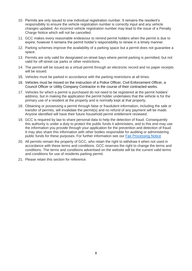- 10. Permits are only issued to one individual registration number. It remains the resident's responsibility to ensure the vehicle registration number is correctly input and any vehicle changes updated. An incorrect vehicle registration number may lead to the issue of a Penalty Charge Notice which will not be cancelled.
- 11. GCC makes every reasonable endeavour to remind permit holders when the permit is due to expire; however it remains the permit holder's responsibility to renew in a timely manner.
- 12. Parking schemes improve the availability of a parking space but a permit does not guarantee a space.
- 13. Permits are only valid for designated on-street bays where permit parking is permitted, but not valid for off-street car parks or other restrictions.
- 14. The permit will be issued as a virtual permit through an electronic record and no paper receipts will be issued.
- 15. Vehicles must be parked in accordance with the parking restrictions at all times.
- 16. Vehicles must be moved on the instruction of a Police Officer, Civil Enforcement Officer, a Council Officer or Utility Company Contractor in the course of their contracted works.
- 17. Vehicles for which a permit is purchased do not need to be registered at the permit holders' address, but in making the application the permit holder undertakes that the vehicle is for the primary use of a resident at the property and is normally kept at that property.
- 18. Obtaining or possessing a permit through false or fraudulent information, including the sale or transfer of permits, will invalidate the permit(s) and no refund of any payment will be made. Anyone identified will have their future household permit entitlement reviewed.
- 19. GCC is required by law to share personal data to help the detection of fraud. Consequently this authority is under a duty to protect the public funds it administers, and to this end may use the information you provide through your application for the prevention and detection of fraud. It may also share this information with other bodies responsible for auditing or administering public funds for these purposes. For further information see our [Fair Processing Notice](http://www.gloucestershire.gov.uk/council-and-democracy/transparency/fair-processing-notice/)
- 20. All permits remain the property of GCC, who retain the right to withdraw it when not used in accordance with these terms and conditions. GCC reserves the right to change the terms and conditions. The terms and conditions advertised on the website will be the current valid terms and conditions for use of residents parking permit.
- 21. Please retain this section for reference.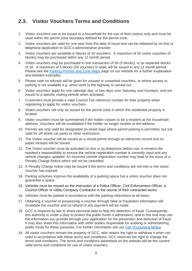## <span id="page-8-0"></span>**2.3. Visitor Vouchers Terms and Conditions**

- 1. Visitor vouchers can to be issued to a household for the use of their visitors only and must be used within the permit zone boundary defined for the permit zone.
- 2. Visitor vouchers are valid for one year from the date of issue and can be obtained by on-line or telephone application to GCC's administrative provider.
- 3. Visitor vouchers are available in blocks of 10 vouchers. A maximum of 50 visitor vouchers (5 blocks) may be purchased within any 12 month period.
- 4. Visitor vouchers may be purchased in one transaction of 50 (5 blocks), or as separate blocks of 10. A maximum of 5 blocks (50 vouchers in total) will be issued in any 12 month period. Please see the [Parking Permits and Zone Maps](https://www.gloucestershire.gov.uk/highways/parking/parking-permits-and-zone-maps/) page on our website for a further explanation and detailed examples.
- 5. Please note no refunds will be given for unused or unwanted vouchers, or where access to parking is not available e.g. when work to the highway is carried out.
- 6. Visitor vouchers apply for one calendar day, or two days over Saturday and Sundays, and are issued to a specific visiting vehicle when activated.
- 7. Customers must provide a valid Council Tax reference number for their property when registering to apply for visitor vouchers.
- 8. Visitor vouchers will only be issued for the permit zone in which the residential property is located.
- 9. Visitor vouchers must be surrendered if the holder ceases to be a resident at the household address. Vouchers will be invalidated if the holder no longer resides at the address.
- 10. Permits are only valid for designated on-street bays where permit parking is permitted, but not valid for off-street car parks or other restrictions.
- 11. The Visitor voucher will be issued as a virtual permit through an electronic record and no paper receipts will be issued.
- 12. The Visitor voucher must be activated on-line or by telephone before use. It remains the resident's responsibility to ensure the vehicle registration number is correctly input and any vehicle changes updated. An incorrect vehicle registration number may lead to the issue of a Penalty Charge Notice which will not be cancelled.
- 13. A Penalty Charge notice may be issued if the terms and conditions are not met or the visitor voucher has expired.
- 14. Parking schemes improve the availability of a parking space but a visitor voucher does not guarantee a space.
- 15. Vehicles must be moved on the instruction of a Police Officer, Civil Enforcement Officer, a Council Officer or Utility Company Contractor in the course of their contracted works.
- 16. Vehicles must be parked in accordance with the parking restrictions at all times.
- 17. Obtaining a voucher or possessing a voucher through false or fraudulent information will invalidate the voucher and no refund of any payment will be made.
- 18. GCC is required by law to share personal data to help the detection of fraud. Consequently this authority is under a duty to protect the public funds it administers, and to this end may use the information you provide through your application for the prevention and detection of fraud. It may also share this information with other bodies responsible for auditing or administering public funds for these purposes. For further information see our [Fair Processing Notice](http://www.gloucestershire.gov.uk/council-and-democracy/transparency/fair-processing-notice/)
- 19. All visitor vouchers remain the property of GCC, who retains the right to withdraw it when not used in accordance with these terms and conditions. GCC reserves the right to change the terms and conditions. The terms and conditions advertised on the website will be the current valid terms and conditions for use of visitor vouchers.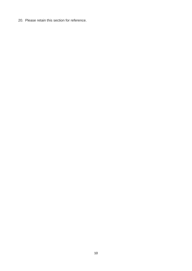20. Please retain this section for reference.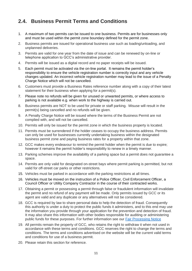## <span id="page-10-0"></span>**2.4. Business Permit Terms and Conditions**

- 1. A maximum of two permits can be issued to one business. Permits are for businesses only and must be used within the permit zone boundary defined for the permit zone.
- 2. Business permits are issued for operational business use such as loading/unloading, and unplanned deliveries.
- 3. Permits are valid for one year from the date of issue and can be renewed by on-line or telephone application to GCC's administrative provider.
- 4. Permits will be issued as a digital record and no paper receipts will be issued.
- 5. Each permit must be activated via the on-line portal. It remains the permit holder's responsibility to ensure the vehicle registration number is correctly input and any vehicle changes updated. An incorrect vehicle registration number may lead to the issue of a Penalty Charge Notice which will not be cancelled.
- 6. Customers must provide a Business Rates reference number along with a copy of their latest statement for their business when applying for a permit(s).
- 7. Please note no refunds will be given for unused or unwanted permits, or where access to parking is not available e.g. when work to the highway is carried out.
- 8. Business permits are NOT to be used for private or staff parking. Misuse will result in the permit(s) being cancelled and no refunds will be given.
- 9. A Penalty Charge Notice will be issued where the terms of the Business Permit are not complied with, and will not be cancelled.
- 10. Permits will only be issued for the permit zone in which the business property is located.
- 11. Permits must be surrendered if the holder ceases to occupy the business address. Permits can only be used for businesses currently undertaking business within the designated business permit zone and paying business rates for a property within that zone.
- 12. GCC makes every endeavour to remind the permit holder when the permit is due to expire; however it remains the permit holder's responsibility to renew in a timely manner.
- 13. Parking schemes improve the availability of a parking space but a permit does not guarantee a space.
- 14. Permits are only valid for designated on-street bays where permit parking is permitted, but not valid for off-street car parks or other restrictions.
- 15. Vehicles must be parked in accordance with the parking restrictions at all times.
- 16. Vehicles must be moved on the instruction of a Police Officer, Civil Enforcement Officer, a Council Officer or Utility Company Contractor in the course of their contracted works.
- 17. Obtaining a permit or possessing a permit through false or fraudulent information will invalidate the permit and no refund of any payment will be made. Only permits issued by GCC or its agent are valid and any duplicate or any alternatives will not be considered.
- 18. GCC is required by law to share personal data to help the detection of fraud. Consequently this authority is under a duty to protect the public funds it administers, and to this end may use the information you provide through your application for the prevention and detection of fraud. It may also share this information with other bodies responsible for auditing or administering public funds for these purposes. For further information see our [Fair Processing Notice](http://www.gloucestershire.gov.uk/council-and-democracy/transparency/fair-processing-notice/)
- 19. All permits remain the property of GCC, who retains the right to withdraw it when not used in accordance with these terms and conditions. GCC reserves the right to change the terms and conditions. The terms and conditions advertised on the website will be the current valid terms and conditions for use of a business permit.
- 20. Please retain this section for reference.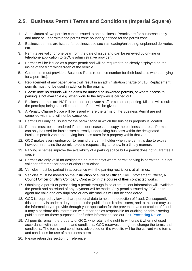## <span id="page-11-0"></span>**2.5. Business Permit Terms and Conditions (Imperial Square)**

- 1. A maximum of two permits can be issued to one business. Permits are for businesses only and must be used within the permit zone boundary defined for the permit zone.
- 2. Business permits are issued for business use such as loading/unloading, unplanned deliveries etc.
- 3. Permits are valid for one year from the date of issue and can be renewed by on-line or telephone application to GCC's administrative provider.
- 4. Permits will be issued as a paper permit and will be required to be clearly displayed on the inside of the front windscreen of the vehicle.
- 5. Customers must provide a Business Rates reference number for their business when applying for a permit(s).
- 6. Replacement of any paper permit will result in an administration charge of £15. Replacement permits must not be used in addition to the original.
- 7. Please note no refunds will be given for unused or unwanted permits, or where access to parking is not available e.g. when work to the highway is carried out.
- 8. Business permits are NOT to be used for private staff or customer parking. Misuse will result in the permit(s) being cancelled and no refunds will be given.
- 9. A Penalty Charge Notice will be issued where the terms of the Business Permit are not complied with, and will not be cancelled.
- 10. Permits will only be issued for the permit zone in which the business property is located.
- 11. Permits must be surrendered if the holder ceases to occupy the business address. Permits can only be used for businesses currently undertaking business within the designated business permit zone and paying business rates for a property within that zone.
- 12. GCC makes every endeavour to remind the permit holder when the permit is due to expire; however it remains the permit holder's responsibility to renew in a timely manner.
- 13. Parking schemes improve the availability of a parking space but a permit does not guarantee a space.
- 14. Permits are only valid for designated on-street bays where permit parking is permitted, but not valid for off-street car parks or other restrictions.
- 15. Vehicles must be parked in accordance with the parking restrictions at all times.
- 16. Vehicles must be moved on the instruction of a Police Officer, Civil Enforcement Officer, a Council Officer or Utility Company Contractor in the course of their contracted works.
- 17. Obtaining a permit or possessing a permit through false or fraudulent information will invalidate the permit and no refund of any payment will be made. Only permits issued by GCC or its agent are valid and any duplicate or any alternatives will not be considered.
- 18. GCC is required by law to share personal data to help the detection of fraud. Consequently this authority is under a duty to protect the public funds it administers, and to this end may use the information you provide through your application for the prevention and detection of fraud. It may also share this information with other bodies responsible for auditing or administering public funds for these purposes. For further information see our [Fair Processing Notice](http://www.gloucestershire.gov.uk/council-and-democracy/transparency/fair-processing-notice/)
- 19. All permits remain the property of GCC, who retains the right to withdraw it when not used in accordance with these terms and conditions. GCC reserves the right to change the terms and conditions. The terms and conditions advertised on the website will be the current valid terms and conditions for use of a business permit.
- 20. Please retain this section for reference.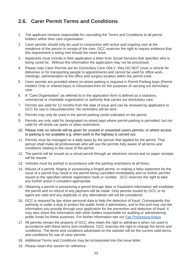## <span id="page-12-0"></span>**2.6. Carer Permit Terms and Conditions**

- 1. The applicant remains responsible for cascading the Terms and Conditions to all permit holders within their care organisation.
- 2. Carer permits should only be used in conjunction with active and ongoing care at the residence of the person in receipt of the care. GCC reserves the right to require evidence that this requirement is being met should the need arise.
- 3. Applicants must include in their application a letter from Social Services that specifies who is being cared for. Without this information the application may not be processed.
- 4. Please note Carer Permits are for Domiciliary Care ONLY, they DO NOT cover a vehicle for deliveries or for transporting people to appointments and cannot be used for office work, meetings, administration at the office and surgery location within the permit zone.
- 5. Carer permits are provided where on-street parking is required in Permit Parking bays (Permit Holders Only or shared bays) in Gloucestershire for the purposes of carrying out domiciliary care.
- 6. A "Care Organisation" as referred to in the application form is defined as a statutory, commercial or charitable organisation or authority that carries out domiciliary care.
- 7. Permits are valid for 12 months from the date of issue and can be renewed by application to GCC for use in Gloucestershire. No reminders will be sent.
- 8. Permits may only be used in the permit parking zones indicated on the permit.
- 9. Permits are only valid for designated on-street bays where permit parking is permitted, but not valid for off-street car parks or other restrictions.
- 10. Please note no refunds will be given for unused or unwanted carers permits, or where access to parking is not available e.g. when work to the highway is carried out.
- 11. Permits must be managed on a daily basis by the person that applied for the permit. That person shall make all professionals who will use the permits fully aware of all terms and conditions relating to the issue of the permit.
- 12. The permit will be issued as a virtual permit through an electronic record and no paper receipts will be issued.
- 13. Vehicles must be parked in accordance with the parking restrictions at all times.
- 14. Misuse of a permit, forging or possessing a forged permit, or making a false statement for the issue of a permit may result in the permit being cancelled immediately and no further permits issued to the specified vehicle registration mark or number. GCC reserves the right to take any further action it considers appropriate.
- 15. Obtaining a permit or possessing a permit through false or fraudulent information will invalidate the permit and no refund of any payment will be made. Only permits issued by GCC or its agent are valid and any duplicate or any alternatives will not be considered.
- 16. GCC is required by law share personal data to help the detection of fraud. Consequently this authority is under a duty to protect the public funds it administers, and to this end may use the information you provide through your application for the prevention and detection of fraud. It may also share this information with other bodies responsible for auditing or administering public funds for these purposes. For further information see our [Fair Processing Notice](http://www.gloucestershire.gov.uk/council-and-democracy/transparency/fair-processing-notice/)
- 17. All permits remain the property of GCC, who retain the right to withdraw it when not used in accordance with these terms and conditions. GCC reserves the right to change the terms and conditions. The terms and conditions advertised on the website will be the current valid terms and conditions for use of carer permits.
- 18. Additional Terms and Conditions may be incorporated into the issue letter.
- 19. Please retain this section for reference.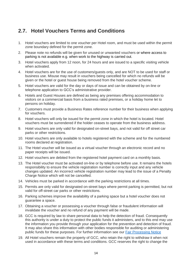#### <span id="page-13-0"></span>**2.7. Hotel Vouchers Terms and Conditions**

- 1. Hotel vouchers are limited to one voucher per Hotel room, and must be used within the permit zone boundary defined for the permit zone.
- 2. Please note no refunds will be given for unused or unwanted vouchers or where access to parking is not available e.g. when work to the highway is carried out.
- 3. Hotel vouchers apply from 12 noon, for 24 hours and are issued to a specific visiting vehicle when activated.
- 4. Hotel vouchers are for the use of customers/guests only, and are NOT to be used for staff or business use. Misuse may result in vouchers being cancelled for which no refunds will be given or the hotel or guest house being removed from the hotel voucher scheme.
- 5. Hotel vouchers are valid for the day or days of issue and can be obtained by on-line or telephone application to GCC's administrative provider.
- 6. Hotels and Guest Houses are defined as being any premises offering accommodation to visitors on a commercial basis from a business rated premises, or a holiday home let to persons on holiday.
- 7. Customers must provide a Business Rates reference number for their business when applying for vouchers.
- 8. Hotel vouchers will only be issued for the permit zone in which the hotel is located. Hotel vouchers must be surrendered if the holder ceases to operate from the business address.
- 9. Hotel vouchers are only valid for designated on-street bays, and not valid for off street car parks or other restrictions.
- 10. Hotel vouchers are only available to hotels registered with the scheme and for the numbered rooms declared at registration.
- 11. The Hotel voucher will be issued as a virtual voucher through an electronic record and no paper receipts will be issued.
- 12. Hotel vouchers are debited from the registered hotel payment card on a monthly basis.
- 13. The Hotel voucher must be activated on-line or by telephone before use. It remains the hotels responsibility to ensure the vehicle registration number is correctly input and any vehicle changes updated. An incorrect vehicle registration number may lead to the issue of a Penalty Charge Notice which will not be cancelled.
- 14. Vehicles must be parked in accordance with the parking restrictions at all times.
- 15. Permits are only valid for designated on-street bays where permit parking is permitted, but not valid for off-street car parks or other restrictions.
- 16. Parking schemes improve the availability of a parking space but a hotel voucher does not guarantee a space.
- 17. Obtaining a voucher or possessing a voucher through false or fraudulent information will invalidate the voucher and no refund of any payment will be made.
- 18. GCC is required by law to share personal data to help the detection of fraud. Consequently this authority is under a duty to protect the public funds it administers, and to this end may use the information you provide through your application for the prevention and detection of fraud. It may also share this information with other bodies responsible for auditing or administering public funds for these purposes. For further information see our [Fair Processing Notice](http://www.gloucestershire.gov.uk/council-and-democracy/transparency/fair-processing-notice/)
- 19. All Hotel vouchers remain the property of GCC, who retain the right to withdraw it when not used in accordance with these terms and conditions. GCC reserves the right to change the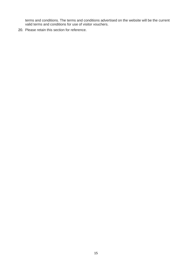terms and conditions. The terms and conditions advertised on the website will be the current valid terms and conditions for use of visitor vouchers.

20. Please retain this section for reference.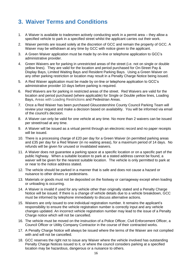# <span id="page-15-0"></span>**3. Waiver Terms and Conditions**

- 1. A Waiver is available to tradesmen actively conducting work in a permit area they allow a specified vehicle to park in a specified street whilst the applicant carries out their work.
- 2. Waiver permits are issued solely at the discretion of GCC and remain the property of GCC. A Waiver may be withdrawn at any time by GCC with notice given to the applicant.
- 3. A Green Waiver application must be made by on-line or telephone application to GCC's administrative provider.
- 4. Green Waivers are for parking in unrestricted areas of the street (i.e. not on single or double yellow lines). They are valid for the location and period purchased for On-Street Pay & Display Bays, Limited Waiting Bays and Resident Parking Bays. Using a Green Waiver on any other parking restriction or location may result in a Penalty Charge Notice being issued.
- 5. A Red Waiver application must be made by on-line or telephone application to GCC's administrative provider 10 days before parking is required.
- 6. Red Waivers are for parking in restricted areas of the street. Red Waivers are valid for the location and period purchased (where applicable) for Single or Double yellow lines, Loading Bays, Areas with Loading Restrictions and Pedestrian Areas.
- 7. Once a Red Waiver has been purchased Gloucestershire County Council Parking Team will review your request and make a decision based on availability. You will be informed via email of the council's decision.
- 8. A Waiver can only be valid for one vehicle at any time. No more than 2 waivers can be issued per street/road at any time.
- 9. A Waiver will be issued as a virtual permit through an electronic record and no paper receipts will be issued.
- 10. There is a processing charge of £20 per day for a Green Waiver (in permitted parking areas and £35 per day for a Red Waiver (in no waiting areas), for a maximum period of 14 days. No refunds will be given for unused or invalidated waivers.
- 11. A Waiver does not guarantee a parking space at a specific location or on a specific part of the public highway. When a suitable location to park at a stated address cannot be found, a waiver will be given for the nearest suitable location. The vehicle is only permitted to park at or near to the notice address stated.
- 12. The vehicle should be parked in a manner that is safe and does not cause a hazard or nuisance to other drivers or pedestrians.
- 13. Materials or goods must not be deposited on the footway or carriageway except when loading or unloading is occurring.
- 14. A Waiver is invalid if used for any vehicle other than originally stated and a Penalty Charge Notice will be issued. If there is a change of vehicle details due to a vehicle breakdown, GCC must be informed by telephone immediately to discuss alternative actions.
- 15. Waivers are only issued to one individual registration number. It remains the applicant's responsibility to ensure the vehicle registration number is correctly input and any vehicle changes updated. An incorrect vehicle registration number may lead to the issue of a Penalty Charge notice which will not be cancelled.
- 16. The vehicle must be moved on the instruction of a Police Officer, Civil Enforcement Officer, a Council Officer or Utility Company Contractor in the course of their contracted works.
- 17. A Penalty Charge Notice will always be issued where the terms of the Waiver are not complied with and will not be cancelled.
- 18. GCC reserves the right not to issue any Waiver where the vehicle involved has outstanding Penalty Charge Notices issued to it, or where the council considers parking at a specified location may be hazardous, dangerous or a nuisance to others.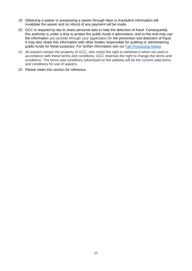- 19. Obtaining a waiver or possessing a waiver through false or fraudulent information will invalidate the waiver and no refund of any payment will be made.
- 20. GCC is required by law to share personal data to help the detection of fraud. Consequently this authority is under a duty to protect the public funds it administers, and to this end may use the information you provide through your application for the prevention and detection of fraud. It may also share this information with other bodies responsible for auditing or administering public funds for these purposes. For further information see our [Fair Processing Notice.](http://www.gloucestershire.gov.uk/council-and-democracy/transparency/fair-processing-notice/)
- 21. All waivers remain the property of GCC, who retain the right to withdraw it when not used in accordance with these terms and conditions. GCC reserves the right to change the terms and conditions. The terms and conditions advertised on the website will be the current valid terms and conditions for use of waivers.
- 22. Please retain this section for reference.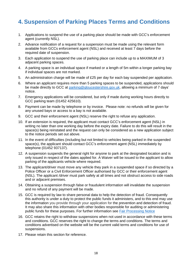# <span id="page-17-0"></span>**4. Suspension of Parking Places Terms and Conditions**

- 1. Applications to suspend the use of a parking place should be made with GCC's enforcement agent (currently NSL).
- 2. Advance notification of a request for a suspension must be made using the relevant form available from GCCs enforcement agent (NSL) and received at least 7 days before the required date of suspension.
- 3. Each application to suspend the use of parking place can include up to a MAXIMUM of 3 adjacent parking spaces.
- 4. A parking space is an individual space if marked or a length of 5m within a longer parking bay if individual spaces are not marked.
- 5. An administration charge will be made of £25 per day for each bay suspended per application.
- 6. Where an applicant requires more than 5 parking spaces to be suspended, applications should be made directly to GCC at [parking@gloucestershire.gov.uk,](mailto:parking@gloucestershire.gov.uk) allowing a minimum of 7 days' notice.
- 7. Emergency applications will be considered, but only if made during working hours directly to GCC parking team (01452 425610).
- 8. Payment can be made by telephone or by invoice. Please note: no refunds will be given for any unused bays or access to a bay is not available.
- 9. GCC and their enforcement agent (NSL) reserve the right to refuse any application.
- 10. If an extension is required, the applicant must contact GCC's enforcement agent (NSL) in writing no later than one working day before the expiry date. Failure to do this will result in the space(s) being reinstated and the request can only be considered as a new application subject to the notice periods set out above.
- 11. In the event of difficulties (including but not limited to vehicles being parked in the suspended space(s), the applicant should contact GCC's enforcement agent (NSL) immediately by telephone (01452 937137).
- 12. A suspension suspends the general right for anyone to park at the designated location and is only issued in respect of the dates applied for. A Waiver will be issued to the applicant to allow parking of the applicants vehicle where required.
- 13. The applicant/driver must move any vehicle they park in a suspended space if so directed by a Police Officer or a Civil Enforcement Officer authorised by GCC or their enforcement agent (NSL). The applicant /driver must park safely at all times and not obstruct access to side roads and or adjacent premises.
- 14. Obtaining a suspension through false or fraudulent information will invalidate the suspension and no refund of any payment will be made.
- 15. GCC is required by law to share personal data to help the detection of fraud. Consequently this authority is under a duty to protect the public funds it administers, and to this end may use the information you provide through your application for the prevention and detection of fraud. It may also share this information with other bodies responsible for auditing or administering public funds for these purposes. For further information see [Fair Processing Notice](http://www.gloucestershire.gov.uk/council-and-democracy/transparency/fair-processing-notice/)
- 16. GCC retains the right to withdraw suspensions when not used in accordance with these terms and conditions. GCC reserves the right to change the terms and conditions. The terms and conditions advertised on the website will be the current valid terms and conditions for use of suspensions.
- 17. Please retain this section for reference.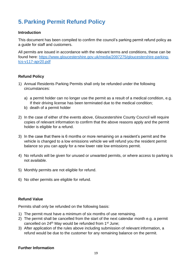# <span id="page-18-0"></span>**5. Parking Permit Refund Policy**

#### **Introduction**

This document has been compiled to confirm the council's parking permit refund policy as a guide for staff and customers.

All permits are issued in accordance with the relevant terms and conditions, these can be found here: [https://www.gloucestershire.gov.uk/media/2097275/gloucestershire-parking](https://www.gloucestershire.gov.uk/media/2097275/gloucestershire-parking-tcs-v117-apr20.pdf)[tcs-v117-apr20.pdf](https://www.gloucestershire.gov.uk/media/2097275/gloucestershire-parking-tcs-v117-apr20.pdf)

#### **Refund Policy**

- 1) Annual Residents Parking Permits shall only be refunded under the following circumstances:
	- a) a permit holder can no longer use the permit as a result of a medical condition, e.g. If their driving license has been terminated due to the medical condition;
	- b) death of a permit holder
- 2) In the case of either of the events above, Gloucestershire County Council will require copies of relevant information to confirm that the above reasons apply and the permit holder is eligible for a refund.
- 3) In the case that there is 6 months or more remaining on a resident's permit and the vehicle is changed to a low emissions vehicle we will refund you the resident permit balance so you can apply for a new lower rate low emissions permit.
- 4) No refunds will be given for unused or unwanted permits, or where access to parking is not available.
- 5) Monthly permits are not eligible for refund.
- 6) No other permits are eligible for refund.

#### **Refund Value**

Permits shall only be refunded on the following basis:

- 1) The permit must have a minimum of six months of use remaining.
- 2) The permit shall be cancelled from the start of the next calendar month e.g. a permit cancelled on 24<sup>th</sup> May would be refunded from 1<sup>st</sup> June;
- 3) After application of the rules above including submission of relevant information, a refund would be due to the customer for any remaining balance on the permit.

#### **Further Information**